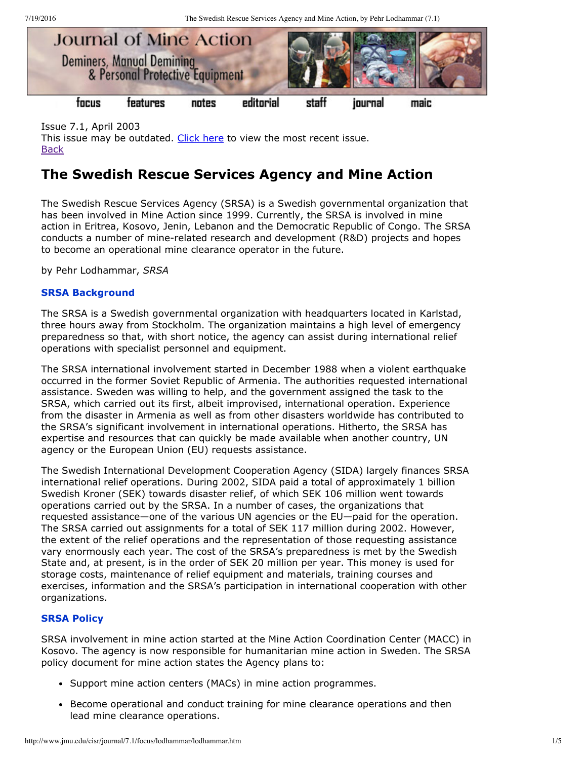7/19/2016 The Swedish Rescue Services Agency and Mine Action, by Pehr Lodhammar (7.1)



Issue 7.1, April 2003 This issue may be outdated. [Click](http://www.jmu.edu/cisr/journal/current.shtml) here to view the most recent issue. **[Back](http://www.jmu.edu/cisr/journal/7.1/index.htm)** 

# **The Swedish Rescue Services Agency and Mine Action**

The Swedish Rescue Services Agency (SRSA) is a Swedish governmental organization that has been involved in Mine Action since 1999. Currently, the SRSA is involved in mine action in Eritrea, Kosovo, Jenin, Lebanon and the Democratic Republic of Congo. The SRSA conducts a number of mine-related research and development (R&D) projects and hopes to become an operational mine clearance operator in the future.

by Pehr Lodhammar, *SRSA*

# **SRSA Background**

The SRSA is a Swedish governmental organization with headquarters located in Karlstad, three hours away from Stockholm. The organization maintains a high level of emergency preparedness so that, with short notice, the agency can assist during international relief operations with specialist personnel and equipment.

The SRSA international involvement started in December 1988 when a violent earthquake occurred in the former Soviet Republic of Armenia. The authorities requested international assistance. Sweden was willing to help, and the government assigned the task to the SRSA, which carried out its first, albeit improvised, international operation. Experience from the disaster in Armenia as well as from other disasters worldwide has contributed to the SRSA's significant involvement in international operations. Hitherto, the SRSA has expertise and resources that can quickly be made available when another country, UN agency or the European Union (EU) requests assistance.

The Swedish International Development Cooperation Agency (SIDA) largely finances SRSA international relief operations. During 2002, SIDA paid a total of approximately 1 billion Swedish Kroner (SEK) towards disaster relief, of which SEK 106 million went towards operations carried out by the SRSA. In a number of cases, the organizations that requested assistance—one of the various UN agencies or the EU—paid for the operation. The SRSA carried out assignments for a total of SEK 117 million during 2002. However, the extent of the relief operations and the representation of those requesting assistance vary enormously each year. The cost of the SRSA's preparedness is met by the Swedish State and, at present, is in the order of SEK 20 million per year. This money is used for storage costs, maintenance of relief equipment and materials, training courses and exercises, information and the SRSA's participation in international cooperation with other organizations.

# **SRSA Policy**

SRSA involvement in mine action started at the Mine Action Coordination Center (MACC) in Kosovo. The agency is now responsible for humanitarian mine action in Sweden. The SRSA policy document for mine action states the Agency plans to:

- Support mine action centers (MACs) in mine action programmes.
- **Become operational and conduct training for mine clearance operations and then** lead mine clearance operations.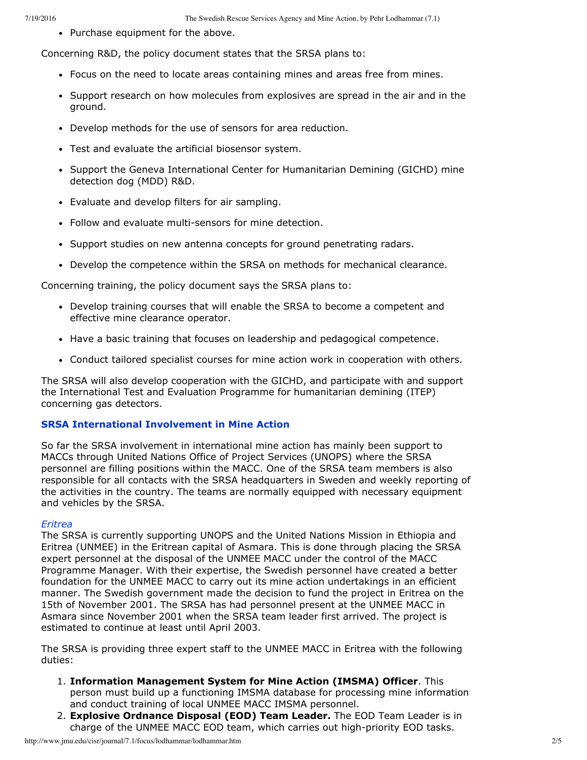• Purchase equipment for the above.

Concerning R&D, the policy document states that the SRSA plans to:

- Focus on the need to locate areas containing mines and areas free from mines.
- Support research on how molecules from explosives are spread in the air and in the ground.
- Develop methods for the use of sensors for area reduction.
- Test and evaluate the artificial biosensor system.
- Support the Geneva International Center for Humanitarian Demining (GICHD) mine detection dog (MDD) R&D.
- Evaluate and develop filters for air sampling.
- Follow and evaluate multi-sensors for mine detection.
- Support studies on new antenna concepts for ground penetrating radars.
- Develop the competence within the SRSA on methods for mechanical clearance.

Concerning training, the policy document says the SRSA plans to:

- Develop training courses that will enable the SRSA to become a competent and effective mine clearance operator.
- Have a basic training that focuses on leadership and pedagogical competence.
- Conduct tailored specialist courses for mine action work in cooperation with others.

The SRSA will also develop cooperation with the GICHD, and participate with and support the International Test and Evaluation Programme for humanitarian demining (ITEP) concerning gas detectors.

## **SRSA International Involvement in Mine Action**

So far the SRSA involvement in international mine action has mainly been support to MACCs through United Nations Office of Project Services (UNOPS) where the SRSA personnel are filling positions within the MACC. One of the SRSA team members is also responsible for all contacts with the SRSA headquarters in Sweden and weekly reporting of the activities in the country. The teams are normally equipped with necessary equipment and vehicles by the SRSA.

## *Eritrea*

The SRSA is currently supporting UNOPS and the United Nations Mission in Ethiopia and Eritrea (UNMEE) in the Eritrean capital of Asmara. This is done through placing the SRSA expert personnel at the disposal of the UNMEE MACC under the control of the MACC Programme Manager. With their expertise, the Swedish personnel have created a better foundation for the UNMEE MACC to carry out its mine action undertakings in an efficient manner. The Swedish government made the decision to fund the project in Eritrea on the 15th of November 2001. The SRSA has had personnel present at the UNMEE MACC in Asmara since November 2001 when the SRSA team leader first arrived. The project is estimated to continue at least until April 2003.

The SRSA is providing three expert staff to the UNMEE MACC in Eritrea with the following duties:

- 1. **Information Management System for Mine Action (IMSMA) Officer**. This person must build up a functioning IMSMA database for processing mine information and conduct training of local UNMEE MACC IMSMA personnel.
- 2. **Explosive Ordnance Disposal (EOD) Team Leader.** The EOD Team Leader is in charge of the UNMEE MACC EOD team, which carries out high-priority EOD tasks.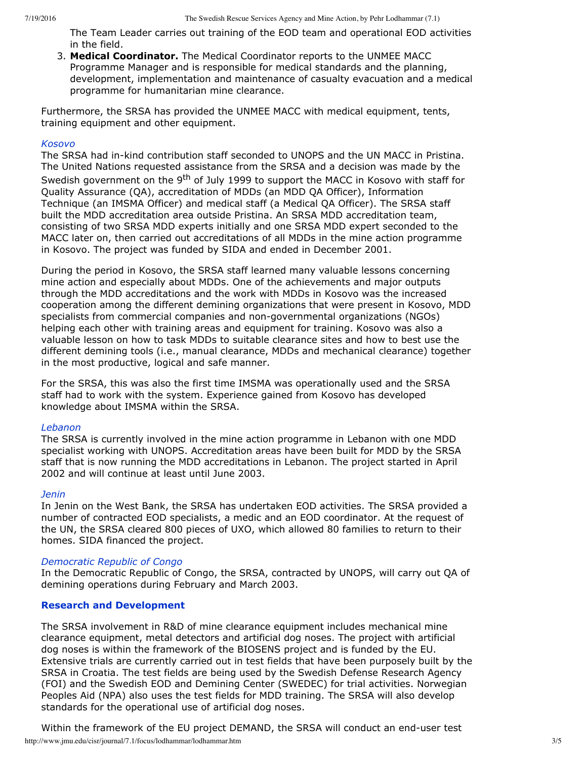The Team Leader carries out training of the EOD team and operational EOD activities in the field.

3. **Medical Coordinator.** The Medical Coordinator reports to the UNMEE MACC Programme Manager and is responsible for medical standards and the planning, development, implementation and maintenance of casualty evacuation and a medical programme for humanitarian mine clearance.

Furthermore, the SRSA has provided the UNMEE MACC with medical equipment, tents, training equipment and other equipment.

#### *Kosovo*

The SRSA had in-kind contribution staff seconded to UNOPS and the UN MACC in Pristina. The United Nations requested assistance from the SRSA and a decision was made by the Swedish government on the 9<sup>th</sup> of July 1999 to support the MACC in Kosovo with staff for Quality Assurance (QA), accreditation of MDDs (an MDD QA Officer), Information Technique (an IMSMA Officer) and medical staff (a Medical QA Officer). The SRSA staff built the MDD accreditation area outside Pristina. An SRSA MDD accreditation team, consisting of two SRSA MDD experts initially and one SRSA MDD expert seconded to the MACC later on, then carried out accreditations of all MDDs in the mine action programme in Kosovo. The project was funded by SIDA and ended in December 2001.

During the period in Kosovo, the SRSA staff learned many valuable lessons concerning mine action and especially about MDDs. One of the achievements and major outputs through the MDD accreditations and the work with MDDs in Kosovo was the increased cooperation among the different demining organizations that were present in Kosovo, MDD specialists from commercial companies and non-governmental organizations (NGOs) helping each other with training areas and equipment for training. Kosovo was also a valuable lesson on how to task MDDs to suitable clearance sites and how to best use the different demining tools (i.e., manual clearance, MDDs and mechanical clearance) together in the most productive, logical and safe manner.

For the SRSA, this was also the first time IMSMA was operationally used and the SRSA staff had to work with the system. Experience gained from Kosovo has developed knowledge about IMSMA within the SRSA.

## *Lebanon*

The SRSA is currently involved in the mine action programme in Lebanon with one MDD specialist working with UNOPS. Accreditation areas have been built for MDD by the SRSA staff that is now running the MDD accreditations in Lebanon. The project started in April 2002 and will continue at least until June 2003.

#### *Jenin*

In Jenin on the West Bank, the SRSA has undertaken EOD activities. The SRSA provided a number of contracted EOD specialists, a medic and an EOD coordinator. At the request of the UN, the SRSA cleared 800 pieces of UXO, which allowed 80 families to return to their homes. SIDA financed the project.

## *Democratic Republic of Congo*

In the Democratic Republic of Congo, the SRSA, contracted by UNOPS, will carry out QA of demining operations during February and March 2003.

## **Research and Development**

The SRSA involvement in R&D of mine clearance equipment includes mechanical mine clearance equipment, metal detectors and artificial dog noses. The project with artificial dog noses is within the framework of the BIOSENS project and is funded by the EU. Extensive trials are currently carried out in test fields that have been purposely built by the SRSA in Croatia. The test fields are being used by the Swedish Defense Research Agency (FOI) and the Swedish EOD and Demining Center (SWEDEC) for trial activities. Norwegian Peoples Aid (NPA) also uses the test fields for MDD training. The SRSA will also develop standards for the operational use of artificial dog noses.

http://www.jmu.edu/cisr/journal/7.1/focus/lodhammar/lodhammar.htm 3/5 Within the framework of the EU project DEMAND, the SRSA will conduct an end-user test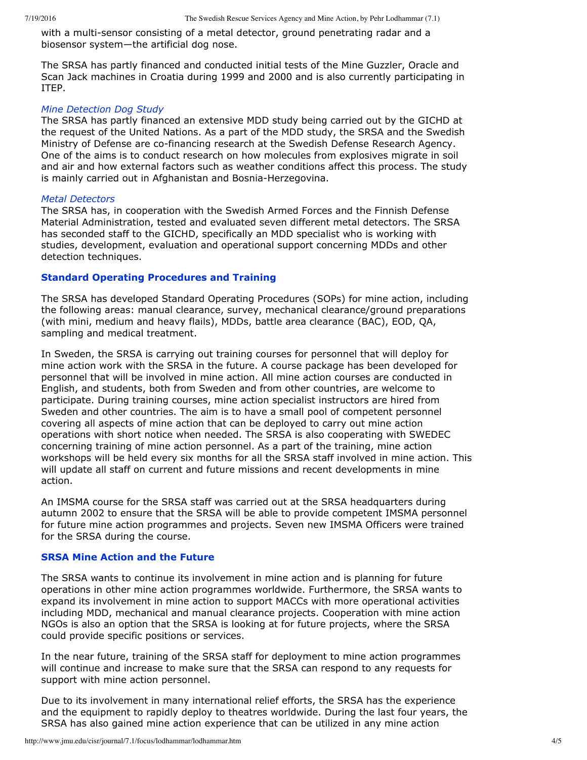with a multi-sensor consisting of a metal detector, ground penetrating radar and a biosensor system—the artificial dog nose.

The SRSA has partly financed and conducted initial tests of the Mine Guzzler, Oracle and Scan Jack machines in Croatia during 1999 and 2000 and is also currently participating in ITEP.

#### *Mine Detection Dog Study*

The SRSA has partly financed an extensive MDD study being carried out by the GICHD at the request of the United Nations. As a part of the MDD study, the SRSA and the Swedish Ministry of Defense are co-financing research at the Swedish Defense Research Agency. One of the aims is to conduct research on how molecules from explosives migrate in soil and air and how external factors such as weather conditions affect this process. The study is mainly carried out in Afghanistan and Bosnia-Herzegovina.

#### *Metal Detectors*

The SRSA has, in cooperation with the Swedish Armed Forces and the Finnish Defense Material Administration, tested and evaluated seven different metal detectors. The SRSA has seconded staff to the GICHD, specifically an MDD specialist who is working with studies, development, evaluation and operational support concerning MDDs and other detection techniques.

## **Standard Operating Procedures and Training**

The SRSA has developed Standard Operating Procedures (SOPs) for mine action, including the following areas: manual clearance, survey, mechanical clearance/ground preparations (with mini, medium and heavy flails), MDDs, battle area clearance (BAC), EOD, QA, sampling and medical treatment.

In Sweden, the SRSA is carrying out training courses for personnel that will deploy for mine action work with the SRSA in the future. A course package has been developed for personnel that will be involved in mine action. All mine action courses are conducted in English, and students, both from Sweden and from other countries, are welcome to participate. During training courses, mine action specialist instructors are hired from Sweden and other countries. The aim is to have a small pool of competent personnel covering all aspects of mine action that can be deployed to carry out mine action operations with short notice when needed. The SRSA is also cooperating with SWEDEC concerning training of mine action personnel. As a part of the training, mine action workshops will be held every six months for all the SRSA staff involved in mine action. This will update all staff on current and future missions and recent developments in mine action.

An IMSMA course for the SRSA staff was carried out at the SRSA headquarters during autumn 2002 to ensure that the SRSA will be able to provide competent IMSMA personnel for future mine action programmes and projects. Seven new IMSMA Officers were trained for the SRSA during the course.

## **SRSA Mine Action and the Future**

The SRSA wants to continue its involvement in mine action and is planning for future operations in other mine action programmes worldwide. Furthermore, the SRSA wants to expand its involvement in mine action to support MACCs with more operational activities including MDD, mechanical and manual clearance projects. Cooperation with mine action NGOs is also an option that the SRSA is looking at for future projects, where the SRSA could provide specific positions or services.

In the near future, training of the SRSA staff for deployment to mine action programmes will continue and increase to make sure that the SRSA can respond to any requests for support with mine action personnel.

Due to its involvement in many international relief efforts, the SRSA has the experience and the equipment to rapidly deploy to theatres worldwide. During the last four years, the SRSA has also gained mine action experience that can be utilized in any mine action